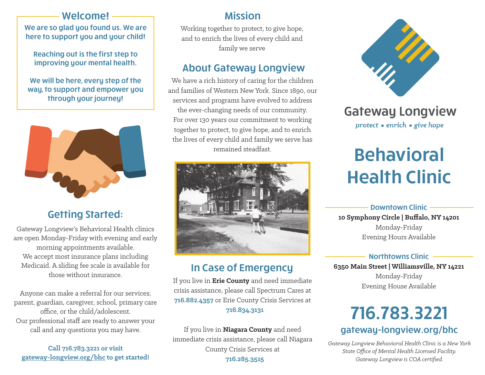### Welcome!

We are so glad you found us. We are here to support you and your child!

Reaching out is the first step to improving your mental health.

We will be here, every step of the way, to support and empower you through your journey!



# Getting Started:

Gateway Longview's Behavioral Health clinics are open Monday-Friday with evening and early morning appointments available. We accept most insurance plans including Medicaid. A sliding fee scale is available for those without insurance.

Anyone can make a referral for our services; parent, guardian, caregiver, school, primary care office, or the child/adolescent. Our professional staff are ready to answer your call and any questions you may have.

**Call 716.783.3221 or visit gateway-longview.org/bhc to get started!**

## Mission

Working together to protect, to give hope, and to enrich the lives of every child and family we serve

# About Gateway Longview

We have a rich history of caring for the children and families of Western New York. Since 1890, our services and programs have evolved to address the ever-changing needs of our community. For over 130 years our commitment to working together to protect, to give hope, and to enrich the lives of every child and family we serve has remained steadfast.



# In Case of Emergency

If you live in **Erie County** and need immediate crisis assistance, please call Spectrum Cares at **716.882.4357** or Erie County Crisis Services at  **716.834.3131**

If you live in **Niagara County** and need immediate crisis assistance, please call Niagara County Crisis Services at  **716.285.3515**



# **Gateway Longview** protect • enrich • give hope

# Behavioral Health Clinic

#### Downtown Clinic

**10 Symphony Circle | Buffalo, NY 14201** Monday-Friday Evening Hours Available

#### Northtowns Clinic

**6350 Main Street | Williamsville, NY 14221** Monday-Friday Evening House Available

# 716.783.3221

### gateway-longview.org/bhc

*Gateway Longview Behavioral Health Clinic is a New York State Office of Mental Health Licensed Facility. Gateway Longview is COA certified.*